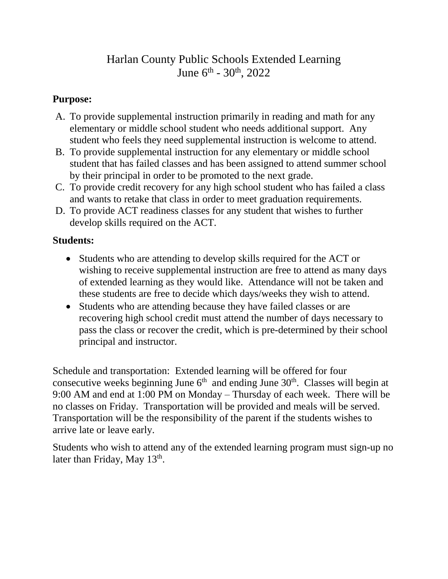## Harlan County Public Schools Extended Learning June  $6^{\text{th}}$  -  $30^{\text{th}}$ ,  $2022$

## **Purpose:**

- A. To provide supplemental instruction primarily in reading and math for any elementary or middle school student who needs additional support. Any student who feels they need supplemental instruction is welcome to attend.
- B. To provide supplemental instruction for any elementary or middle school student that has failed classes and has been assigned to attend summer school by their principal in order to be promoted to the next grade.
- C. To provide credit recovery for any high school student who has failed a class and wants to retake that class in order to meet graduation requirements.
- D. To provide ACT readiness classes for any student that wishes to further develop skills required on the ACT.

## **Students:**

- Students who are attending to develop skills required for the ACT or wishing to receive supplemental instruction are free to attend as many days of extended learning as they would like. Attendance will not be taken and these students are free to decide which days/weeks they wish to attend.
- Students who are attending because they have failed classes or are recovering high school credit must attend the number of days necessary to pass the class or recover the credit, which is pre-determined by their school principal and instructor.

Schedule and transportation: Extended learning will be offered for four consecutive weeks beginning June  $6<sup>th</sup>$  and ending June  $30<sup>th</sup>$ . Classes will begin at 9:00 AM and end at 1:00 PM on Monday – Thursday of each week. There will be no classes on Friday. Transportation will be provided and meals will be served. Transportation will be the responsibility of the parent if the students wishes to arrive late or leave early.

Students who wish to attend any of the extended learning program must sign-up no later than Friday, May 13<sup>th</sup>.